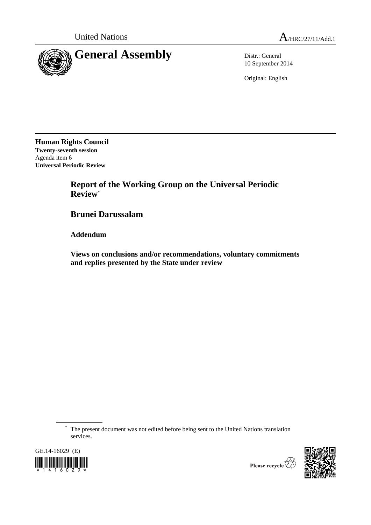

10 September 2014

Original: English

**Human Rights Council Twenty-seventh session** Agenda item 6 **Universal Periodic Review**

> **Report of the Working Group on the Universal Periodic Review**\*

**Brunei Darussalam**

**Addendum**

**Views on conclusions and/or recommendations, voluntary commitments and replies presented by the State under review**

\* The present document was not edited before being sent to the United Nations translation services.





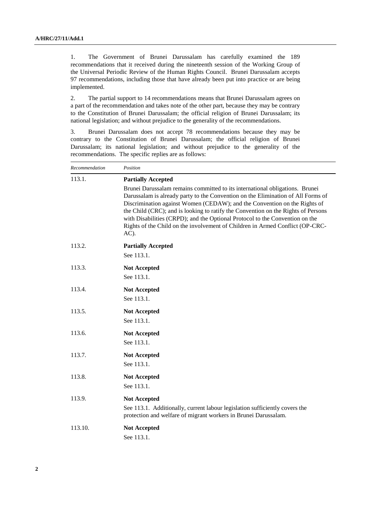1. The Government of Brunei Darussalam has carefully examined the 189 recommendations that it received during the nineteenth session of the Working Group of the Universal Periodic Review of the Human Rights Council. Brunei Darussalam accepts 97 recommendations, including those that have already been put into practice or are being implemented.

2. The partial support to 14 recommendations means that Brunei Darussalam agrees on a part of the recommendation and takes note of the other part, because they may be contrary to the Constitution of Brunei Darussalam; the official religion of Brunei Darussalam; its national legislation; and without prejudice to the generality of the recommendations.

3. Brunei Darussalam does not accept 78 recommendations because they may be contrary to the Constitution of Brunei Darussalam; the official religion of Brunei Darussalam; its national legislation; and without prejudice to the generality of the recommendations. The specific replies are as follows:

| Recommendation | Position                                                                                                                                                                                                                                                                                                                                                                                                                                                                                                                                    |
|----------------|---------------------------------------------------------------------------------------------------------------------------------------------------------------------------------------------------------------------------------------------------------------------------------------------------------------------------------------------------------------------------------------------------------------------------------------------------------------------------------------------------------------------------------------------|
| 113.1.         | <b>Partially Accepted</b><br>Brunei Darussalam remains committed to its international obligations. Brunei<br>Darussalam is already party to the Convention on the Elimination of All Forms of<br>Discrimination against Women (CEDAW); and the Convention on the Rights of<br>the Child (CRC); and is looking to ratify the Convention on the Rights of Persons<br>with Disabilities (CRPD); and the Optional Protocol to the Convention on the<br>Rights of the Child on the involvement of Children in Armed Conflict (OP-CRC-<br>$AC$ ). |
| 113.2.         | <b>Partially Accepted</b><br>See 113.1.                                                                                                                                                                                                                                                                                                                                                                                                                                                                                                     |
| 113.3.         | <b>Not Accepted</b><br>See 113.1.                                                                                                                                                                                                                                                                                                                                                                                                                                                                                                           |
| 113.4.         | <b>Not Accepted</b><br>See 113.1.                                                                                                                                                                                                                                                                                                                                                                                                                                                                                                           |
| 113.5.         | <b>Not Accepted</b><br>See 113.1.                                                                                                                                                                                                                                                                                                                                                                                                                                                                                                           |
| 113.6.         | <b>Not Accepted</b><br>See 113.1.                                                                                                                                                                                                                                                                                                                                                                                                                                                                                                           |
| 113.7.         | <b>Not Accepted</b><br>See 113.1.                                                                                                                                                                                                                                                                                                                                                                                                                                                                                                           |
| 113.8.         | <b>Not Accepted</b><br>See 113.1.                                                                                                                                                                                                                                                                                                                                                                                                                                                                                                           |
| 113.9.         | <b>Not Accepted</b><br>See 113.1. Additionally, current labour legislation sufficiently covers the<br>protection and welfare of migrant workers in Brunei Darussalam.                                                                                                                                                                                                                                                                                                                                                                       |
| 113.10.        | <b>Not Accepted</b><br>See 113.1.                                                                                                                                                                                                                                                                                                                                                                                                                                                                                                           |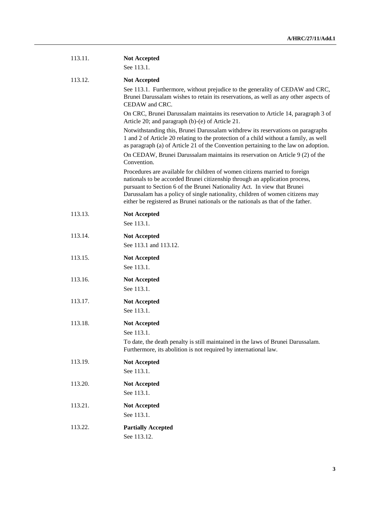| 113.11. | <b>Not Accepted</b><br>See 113.1.                                                                                                                                                                                                                                                                                                                                                                          |
|---------|------------------------------------------------------------------------------------------------------------------------------------------------------------------------------------------------------------------------------------------------------------------------------------------------------------------------------------------------------------------------------------------------------------|
| 113.12. | <b>Not Accepted</b><br>See 113.1. Furthermore, without prejudice to the generality of CEDAW and CRC,<br>Brunei Darussalam wishes to retain its reservations, as well as any other aspects of<br>CEDAW and CRC.                                                                                                                                                                                             |
|         | On CRC, Brunei Darussalam maintains its reservation to Article 14, paragraph 3 of<br>Article 20; and paragraph (b)-(e) of Article 21.                                                                                                                                                                                                                                                                      |
|         | Notwithstanding this, Brunei Darussalam withdrew its reservations on paragraphs<br>1 and 2 of Article 20 relating to the protection of a child without a family, as well<br>as paragraph (a) of Article 21 of the Convention pertaining to the law on adoption.<br>On CEDAW, Brunei Darussalam maintains its reservation on Article 9 (2) of the                                                           |
|         | Convention.                                                                                                                                                                                                                                                                                                                                                                                                |
|         | Procedures are available for children of women citizens married to foreign<br>nationals to be accorded Brunei citizenship through an application process,<br>pursuant to Section 6 of the Brunei Nationality Act. In view that Brunei<br>Darussalam has a policy of single nationality, children of women citizens may<br>either be registered as Brunei nationals or the nationals as that of the father. |
| 113.13. | <b>Not Accepted</b><br>See 113.1.                                                                                                                                                                                                                                                                                                                                                                          |
| 113.14. | <b>Not Accepted</b><br>See 113.1 and 113.12.                                                                                                                                                                                                                                                                                                                                                               |
| 113.15. | <b>Not Accepted</b><br>See 113.1.                                                                                                                                                                                                                                                                                                                                                                          |
| 113.16. | <b>Not Accepted</b><br>See 113.1.                                                                                                                                                                                                                                                                                                                                                                          |
| 113.17. | <b>Not Accepted</b><br>See 113.1.                                                                                                                                                                                                                                                                                                                                                                          |
| 113.18. | <b>Not Accepted</b><br>See 113.1.<br>To date, the death penalty is still maintained in the laws of Brunei Darussalam.<br>Furthermore, its abolition is not required by international law.                                                                                                                                                                                                                  |
| 113.19. | <b>Not Accepted</b><br>See 113.1.                                                                                                                                                                                                                                                                                                                                                                          |
| 113.20. | <b>Not Accepted</b><br>See 113.1.                                                                                                                                                                                                                                                                                                                                                                          |
| 113.21. | <b>Not Accepted</b><br>See 113.1.                                                                                                                                                                                                                                                                                                                                                                          |
| 113.22. | <b>Partially Accepted</b><br>See 113.12.                                                                                                                                                                                                                                                                                                                                                                   |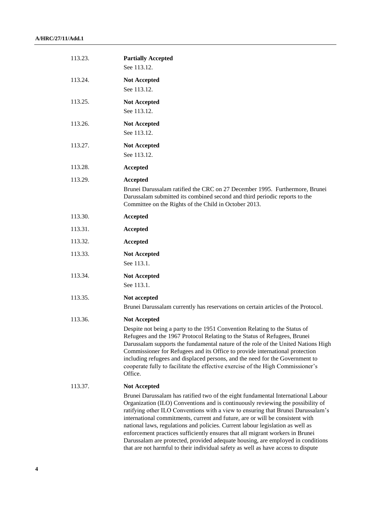| 113.23. | <b>Partially Accepted</b><br>See 113.12.                                                                                                                                                                                                                                                                                                                                                                                                                                                                                                                                                                                                                                            |
|---------|-------------------------------------------------------------------------------------------------------------------------------------------------------------------------------------------------------------------------------------------------------------------------------------------------------------------------------------------------------------------------------------------------------------------------------------------------------------------------------------------------------------------------------------------------------------------------------------------------------------------------------------------------------------------------------------|
| 113.24. | <b>Not Accepted</b><br>See 113.12.                                                                                                                                                                                                                                                                                                                                                                                                                                                                                                                                                                                                                                                  |
| 113.25. | <b>Not Accepted</b><br>See 113.12.                                                                                                                                                                                                                                                                                                                                                                                                                                                                                                                                                                                                                                                  |
| 113.26. | <b>Not Accepted</b><br>See 113.12.                                                                                                                                                                                                                                                                                                                                                                                                                                                                                                                                                                                                                                                  |
| 113.27. | <b>Not Accepted</b><br>See 113.12.                                                                                                                                                                                                                                                                                                                                                                                                                                                                                                                                                                                                                                                  |
| 113.28. | Accepted                                                                                                                                                                                                                                                                                                                                                                                                                                                                                                                                                                                                                                                                            |
| 113.29. | Accepted<br>Brunei Darussalam ratified the CRC on 27 December 1995. Furthermore, Brunei<br>Darussalam submitted its combined second and third periodic reports to the<br>Committee on the Rights of the Child in October 2013.                                                                                                                                                                                                                                                                                                                                                                                                                                                      |
| 113.30. | Accepted                                                                                                                                                                                                                                                                                                                                                                                                                                                                                                                                                                                                                                                                            |
| 113.31. | Accepted                                                                                                                                                                                                                                                                                                                                                                                                                                                                                                                                                                                                                                                                            |
| 113.32. | Accepted                                                                                                                                                                                                                                                                                                                                                                                                                                                                                                                                                                                                                                                                            |
| 113.33. | <b>Not Accepted</b><br>See 113.1.                                                                                                                                                                                                                                                                                                                                                                                                                                                                                                                                                                                                                                                   |
| 113.34. | <b>Not Accepted</b><br>See 113.1.                                                                                                                                                                                                                                                                                                                                                                                                                                                                                                                                                                                                                                                   |
| 113.35. | Not accepted<br>Brunei Darussalam currently has reservations on certain articles of the Protocol.                                                                                                                                                                                                                                                                                                                                                                                                                                                                                                                                                                                   |
| 113.36. | <b>Not Accepted</b><br>Despite not being a party to the 1951 Convention Relating to the Status of<br>Refugees and the 1967 Protocol Relating to the Status of Refugees, Brunei<br>Darussalam supports the fundamental nature of the role of the United Nations High<br>Commissioner for Refugees and its Office to provide international protection<br>including refugees and displaced persons, and the need for the Government to<br>cooperate fully to facilitate the effective exercise of the High Commissioner's<br>Office.                                                                                                                                                   |
| 113.37. | <b>Not Accepted</b>                                                                                                                                                                                                                                                                                                                                                                                                                                                                                                                                                                                                                                                                 |
|         | Brunei Darussalam has ratified two of the eight fundamental International Labour<br>Organization (ILO) Conventions and is continuously reviewing the possibility of<br>ratifying other ILO Conventions with a view to ensuring that Brunei Darussalam's<br>international commitments, current and future, are or will be consistent with<br>national laws, regulations and policies. Current labour legislation as well as<br>enforcement practices sufficiently ensures that all migrant workers in Brunei<br>Darussalam are protected, provided adequate housing, are employed in conditions<br>that are not harmful to their individual safety as well as have access to dispute |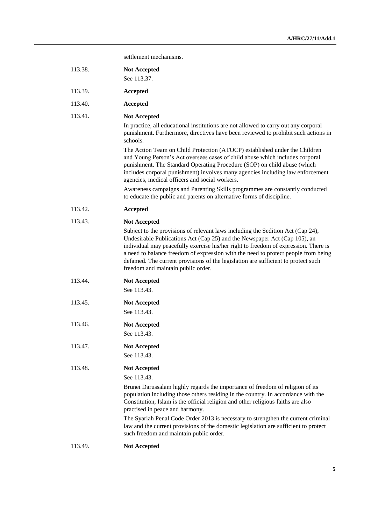settlement mechanisms.

| 113.38. | <b>Not Accepted</b><br>See 113.37.                                                                                                                                                                                                                                                                                                                                                                                                                                                                                                                      |
|---------|---------------------------------------------------------------------------------------------------------------------------------------------------------------------------------------------------------------------------------------------------------------------------------------------------------------------------------------------------------------------------------------------------------------------------------------------------------------------------------------------------------------------------------------------------------|
| 113.39. | Accepted                                                                                                                                                                                                                                                                                                                                                                                                                                                                                                                                                |
| 113.40. | Accepted                                                                                                                                                                                                                                                                                                                                                                                                                                                                                                                                                |
| 113.41. | <b>Not Accepted</b><br>In practice, all educational institutions are not allowed to carry out any corporal<br>punishment. Furthermore, directives have been reviewed to prohibit such actions in<br>schools.                                                                                                                                                                                                                                                                                                                                            |
|         | The Action Team on Child Protection (ATOCP) established under the Children<br>and Young Person's Act oversees cases of child abuse which includes corporal<br>punishment. The Standard Operating Procedure (SOP) on child abuse (which<br>includes corporal punishment) involves many agencies including law enforcement<br>agencies, medical officers and social workers.                                                                                                                                                                              |
|         | Awareness campaigns and Parenting Skills programmes are constantly conducted<br>to educate the public and parents on alternative forms of discipline.                                                                                                                                                                                                                                                                                                                                                                                                   |
| 113.42. | <b>Accepted</b>                                                                                                                                                                                                                                                                                                                                                                                                                                                                                                                                         |
| 113.43. | <b>Not Accepted</b>                                                                                                                                                                                                                                                                                                                                                                                                                                                                                                                                     |
|         | Subject to the provisions of relevant laws including the Sedition Act (Cap 24),<br>Undesirable Publications Act (Cap 25) and the Newspaper Act (Cap 105), an<br>individual may peacefully exercise his/her right to freedom of expression. There is<br>a need to balance freedom of expression with the need to protect people from being<br>defamed. The current provisions of the legislation are sufficient to protect such<br>freedom and maintain public order.                                                                                    |
| 113.44. | <b>Not Accepted</b><br>See 113.43.                                                                                                                                                                                                                                                                                                                                                                                                                                                                                                                      |
| 113.45. | <b>Not Accepted</b><br>See 113.43.                                                                                                                                                                                                                                                                                                                                                                                                                                                                                                                      |
| 113.46. | <b>Not Accepted</b><br>See 113.43.                                                                                                                                                                                                                                                                                                                                                                                                                                                                                                                      |
| 113.47. | <b>Not Accepted</b><br>See 113.43.                                                                                                                                                                                                                                                                                                                                                                                                                                                                                                                      |
| 113.48. | <b>Not Accepted</b><br>See 113.43.<br>Brunei Darussalam highly regards the importance of freedom of religion of its<br>population including those others residing in the country. In accordance with the<br>Constitution, Islam is the official religion and other religious faiths are also<br>practised in peace and harmony.<br>The Syariah Penal Code Order 2013 is necessary to strengthen the current criminal<br>law and the current provisions of the domestic legislation are sufficient to protect<br>such freedom and maintain public order. |
| 113.49. | <b>Not Accepted</b>                                                                                                                                                                                                                                                                                                                                                                                                                                                                                                                                     |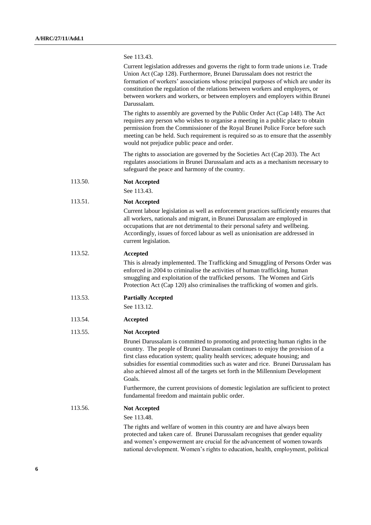| See 113.43. |  |  |  |  |
|-------------|--|--|--|--|
|-------------|--|--|--|--|

Current legislation addresses and governs the right to form trade unions i.e. Trade Union Act (Cap 128). Furthermore, Brunei Darussalam does not restrict the formation of workers' associations whose principal purposes of which are under its constitution the regulation of the relations between workers and employers, or between workers and workers, or between employers and employers within Brunei Darussalam.

The rights to assembly are governed by the Public Order Act (Cap 148). The Act requires any person who wishes to organise a meeting in a public place to obtain permission from the Commissioner of the Royal Brunei Police Force before such meeting can be held. Such requirement is required so as to ensure that the assembly would not prejudice public peace and order.

The rights to association are governed by the Societies Act (Cap 203). The Act regulates associations in Brunei Darussalam and acts as a mechanism necessary to safeguard the peace and harmony of the country.

| 113.50. | <b>Not Accepted</b> |
|---------|---------------------|
|---------|---------------------|

See 113.43.

## 113.51. **Not Accepted**

Current labour legislation as well as enforcement practices sufficiently ensures that all workers, nationals and migrant, in Brunei Darussalam are employed in occupations that are not detrimental to their personal safety and wellbeing. Accordingly, issues of forced labour as well as unionisation are addressed in current legislation.

113.52. **Accepted**

This is already implemented. The Trafficking and Smuggling of Persons Order was enforced in 2004 to criminalise the activities of human trafficking, human smuggling and exploitation of the trafficked persons. The Women and Girls Protection Act (Cap 120) also criminalises the trafficking of women and girls.

113.53. **Partially Accepted**

See 113.12.

## 113.54. **Accepted**

## 113.55. **Not Accepted**

Brunei Darussalam is committed to promoting and protecting human rights in the country. The people of Brunei Darussalam continues to enjoy the provision of a first class education system; quality health services; adequate housing; and subsidies for essential commodities such as water and rice. Brunei Darussalam has also achieved almost all of the targets set forth in the Millennium Development Goals.

Furthermore, the current provisions of domestic legislation are sufficient to protect fundamental freedom and maintain public order.

113.56. **Not Accepted**

See 113.48.

The rights and welfare of women in this country are and have always been protected and taken care of. Brunei Darussalam recognises that gender equality and women's empowerment are crucial for the advancement of women towards national development. Women's rights to education, health, employment, political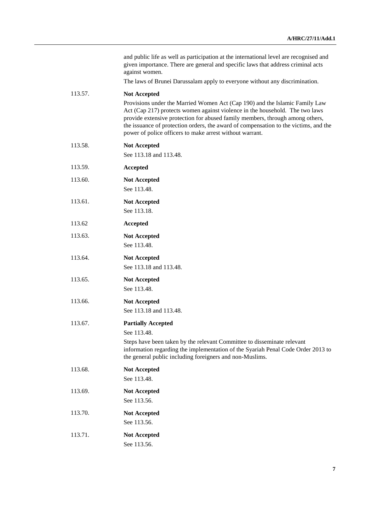and public life as well as participation at the international level are recognised and given importance. There are general and specific laws that address criminal acts against women.

The laws of Brunei Darussalam apply to everyone without any discrimination.

## 113.57. **Not Accepted**

Provisions under the Married Women Act (Cap 190) and the Islamic Family Law Act (Cap 217) protects women against violence in the household. The two laws provide extensive protection for abused family members, through among others, the issuance of protection orders, the award of compensation to the victims, and the power of police officers to make arrest without warrant.

| 113.58. | <b>Not Accepted</b><br>See 113.18 and 113.48.                                                                                                                                                                                                                       |
|---------|---------------------------------------------------------------------------------------------------------------------------------------------------------------------------------------------------------------------------------------------------------------------|
| 113.59. | Accepted                                                                                                                                                                                                                                                            |
| 113.60. | <b>Not Accepted</b><br>See 113.48.                                                                                                                                                                                                                                  |
| 113.61. | <b>Not Accepted</b><br>See 113.18.                                                                                                                                                                                                                                  |
| 113.62  | Accepted                                                                                                                                                                                                                                                            |
| 113.63. | <b>Not Accepted</b><br>See 113.48.                                                                                                                                                                                                                                  |
| 113.64. | <b>Not Accepted</b><br>See 113.18 and 113.48.                                                                                                                                                                                                                       |
| 113.65. | <b>Not Accepted</b><br>See 113.48.                                                                                                                                                                                                                                  |
| 113.66. | <b>Not Accepted</b><br>See 113.18 and 113.48.                                                                                                                                                                                                                       |
| 113.67. | <b>Partially Accepted</b><br>See 113.48.<br>Steps have been taken by the relevant Committee to disseminate relevant<br>information regarding the implementation of the Syariah Penal Code Order 2013 to<br>the general public including foreigners and non-Muslims. |
| 113.68. | <b>Not Accepted</b><br>See 113.48.                                                                                                                                                                                                                                  |
| 113.69. | <b>Not Accepted</b><br>See 113.56.                                                                                                                                                                                                                                  |
| 113.70. | <b>Not Accepted</b><br>See 113.56.                                                                                                                                                                                                                                  |
| 113.71. | <b>Not Accepted</b><br>See 113.56.                                                                                                                                                                                                                                  |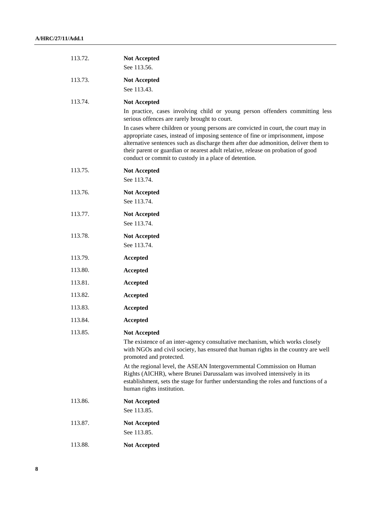| 113.72. | <b>Not Accepted</b><br>See 113.56.                                                                                                                                                                                                                                                                                                                                                                      |
|---------|---------------------------------------------------------------------------------------------------------------------------------------------------------------------------------------------------------------------------------------------------------------------------------------------------------------------------------------------------------------------------------------------------------|
| 113.73. | <b>Not Accepted</b><br>See 113.43.                                                                                                                                                                                                                                                                                                                                                                      |
| 113.74. | <b>Not Accepted</b>                                                                                                                                                                                                                                                                                                                                                                                     |
|         | In practice, cases involving child or young person offenders committing less<br>serious offences are rarely brought to court.                                                                                                                                                                                                                                                                           |
|         | In cases where children or young persons are convicted in court, the court may in<br>appropriate cases, instead of imposing sentence of fine or imprisonment, impose<br>alternative sentences such as discharge them after due admonition, deliver them to<br>their parent or guardian or nearest adult relative, release on probation of good<br>conduct or commit to custody in a place of detention. |
| 113.75. | <b>Not Accepted</b><br>See 113.74.                                                                                                                                                                                                                                                                                                                                                                      |
| 113.76. | <b>Not Accepted</b><br>See 113.74.                                                                                                                                                                                                                                                                                                                                                                      |
| 113.77. | <b>Not Accepted</b><br>See 113.74.                                                                                                                                                                                                                                                                                                                                                                      |
| 113.78. | <b>Not Accepted</b><br>See 113.74.                                                                                                                                                                                                                                                                                                                                                                      |
| 113.79. | Accepted                                                                                                                                                                                                                                                                                                                                                                                                |
| 113.80. | <b>Accepted</b>                                                                                                                                                                                                                                                                                                                                                                                         |
| 113.81. | Accepted                                                                                                                                                                                                                                                                                                                                                                                                |
| 113.82. | Accepted                                                                                                                                                                                                                                                                                                                                                                                                |
| 113.83. | <b>Accepted</b>                                                                                                                                                                                                                                                                                                                                                                                         |
| 113.84. | Accepted                                                                                                                                                                                                                                                                                                                                                                                                |
| 113.85. | <b>Not Accepted</b>                                                                                                                                                                                                                                                                                                                                                                                     |
|         | The existence of an inter-agency consultative mechanism, which works closely<br>with NGOs and civil society, has ensured that human rights in the country are well<br>promoted and protected.                                                                                                                                                                                                           |
|         | At the regional level, the ASEAN Intergovernmental Commission on Human<br>Rights (AICHR), where Brunei Darussalam was involved intensively in its<br>establishment, sets the stage for further understanding the roles and functions of a<br>human rights institution.                                                                                                                                  |
| 113.86. | <b>Not Accepted</b><br>See 113.85.                                                                                                                                                                                                                                                                                                                                                                      |
| 113.87. | <b>Not Accepted</b><br>See 113.85.                                                                                                                                                                                                                                                                                                                                                                      |
| 113.88. | <b>Not Accepted</b>                                                                                                                                                                                                                                                                                                                                                                                     |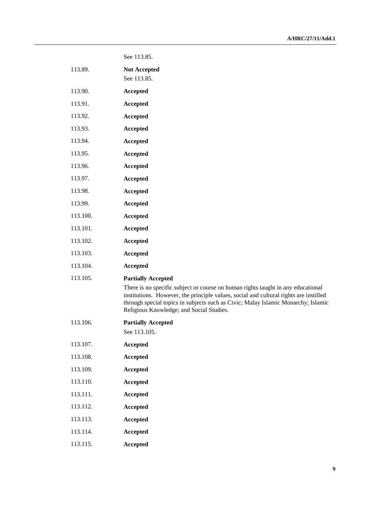| 113.89.  | <b>Not Accepted</b><br>See 113.85.                                                                                                                                                                                                                                                                                                      |
|----------|-----------------------------------------------------------------------------------------------------------------------------------------------------------------------------------------------------------------------------------------------------------------------------------------------------------------------------------------|
| 113.90.  | Accepted                                                                                                                                                                                                                                                                                                                                |
| 113.91.  | <b>Accepted</b>                                                                                                                                                                                                                                                                                                                         |
| 113.92.  | Accepted                                                                                                                                                                                                                                                                                                                                |
| 113.93.  | Accepted                                                                                                                                                                                                                                                                                                                                |
| 113.94.  | <b>Accepted</b>                                                                                                                                                                                                                                                                                                                         |
| 113.95.  | Accepted                                                                                                                                                                                                                                                                                                                                |
| 113.96.  | Accepted                                                                                                                                                                                                                                                                                                                                |
| 113.97.  | <b>Accepted</b>                                                                                                                                                                                                                                                                                                                         |
| 113.98.  | Accepted                                                                                                                                                                                                                                                                                                                                |
| 113.99.  | Accepted                                                                                                                                                                                                                                                                                                                                |
| 113.100. | Accepted                                                                                                                                                                                                                                                                                                                                |
| 113.101. | Accepted                                                                                                                                                                                                                                                                                                                                |
| 113.102. | Accepted                                                                                                                                                                                                                                                                                                                                |
| 113.103. | Accepted                                                                                                                                                                                                                                                                                                                                |
| 113.104. | Accepted                                                                                                                                                                                                                                                                                                                                |
| 113.105. | <b>Partially Accepted</b><br>There is no specific subject or course on human rights taught in any educational<br>institutions. However, the principle values, social and cultural rights are instilled<br>through special topics in subjects such as Civic; Malay Islamic Monarchy; Islamic<br>Religious Knowledge; and Social Studies. |
| 113.106. | <b>Partially Accepted</b><br>See 113.105.                                                                                                                                                                                                                                                                                               |
| 113.107. | <b>Accepted</b>                                                                                                                                                                                                                                                                                                                         |
| 113.108. | Accepted                                                                                                                                                                                                                                                                                                                                |
| 113.109. | <b>Accepted</b>                                                                                                                                                                                                                                                                                                                         |
| 113.110. | Accepted                                                                                                                                                                                                                                                                                                                                |
| 113.111. | Accepted                                                                                                                                                                                                                                                                                                                                |
| 113.112. | Accepted                                                                                                                                                                                                                                                                                                                                |
| 113.113. | Accepted                                                                                                                                                                                                                                                                                                                                |
| 113.114. | Accepted                                                                                                                                                                                                                                                                                                                                |
| 113.115. | Accepted                                                                                                                                                                                                                                                                                                                                |

See 113.85.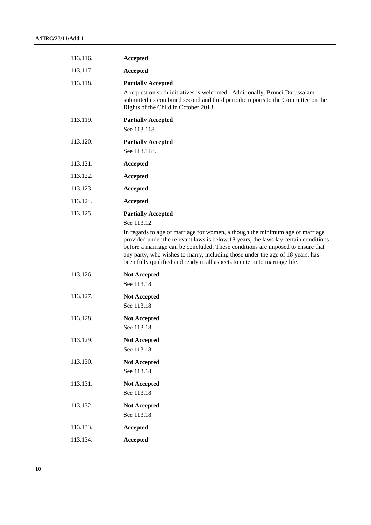| 113.116. | Accepted                                                                                                                                                                                                                                                                                                                                                                                                                |
|----------|-------------------------------------------------------------------------------------------------------------------------------------------------------------------------------------------------------------------------------------------------------------------------------------------------------------------------------------------------------------------------------------------------------------------------|
| 113.117. | <b>Accepted</b>                                                                                                                                                                                                                                                                                                                                                                                                         |
| 113.118. | <b>Partially Accepted</b>                                                                                                                                                                                                                                                                                                                                                                                               |
|          | A request on such initiatives is welcomed. Additionally, Brunei Darussalam<br>submitted its combined second and third periodic reports to the Committee on the<br>Rights of the Child in October 2013.                                                                                                                                                                                                                  |
| 113.119. | <b>Partially Accepted</b><br>See 113.118.                                                                                                                                                                                                                                                                                                                                                                               |
| 113.120. | <b>Partially Accepted</b><br>See 113.118.                                                                                                                                                                                                                                                                                                                                                                               |
| 113.121. | Accepted                                                                                                                                                                                                                                                                                                                                                                                                                |
| 113.122. | Accepted                                                                                                                                                                                                                                                                                                                                                                                                                |
| 113.123. | Accepted                                                                                                                                                                                                                                                                                                                                                                                                                |
| 113.124. | Accepted                                                                                                                                                                                                                                                                                                                                                                                                                |
| 113.125. | <b>Partially Accepted</b><br>See 113.12.                                                                                                                                                                                                                                                                                                                                                                                |
|          | In regards to age of marriage for women, although the minimum age of marriage<br>provided under the relevant laws is below 18 years, the laws lay certain conditions<br>before a marriage can be concluded. These conditions are imposed to ensure that<br>any party, who wishes to marry, including those under the age of 18 years, has<br>been fully qualified and ready in all aspects to enter into marriage life. |
| 113.126. | <b>Not Accepted</b><br>See 113.18.                                                                                                                                                                                                                                                                                                                                                                                      |
| 113.127. | <b>Not Accepted</b><br>See 113.18.                                                                                                                                                                                                                                                                                                                                                                                      |
| 113.128. | <b>Not Accepted</b><br>See 113.18.                                                                                                                                                                                                                                                                                                                                                                                      |
| 113.129. | <b>Not Accepted</b><br>See 113.18.                                                                                                                                                                                                                                                                                                                                                                                      |
| 113.130. | <b>Not Accepted</b><br>See 113.18.                                                                                                                                                                                                                                                                                                                                                                                      |
| 113.131. | <b>Not Accepted</b><br>See 113.18.                                                                                                                                                                                                                                                                                                                                                                                      |
| 113.132. | <b>Not Accepted</b><br>See 113.18.                                                                                                                                                                                                                                                                                                                                                                                      |
| 113.133. | Accepted                                                                                                                                                                                                                                                                                                                                                                                                                |
| 113.134. | Accepted                                                                                                                                                                                                                                                                                                                                                                                                                |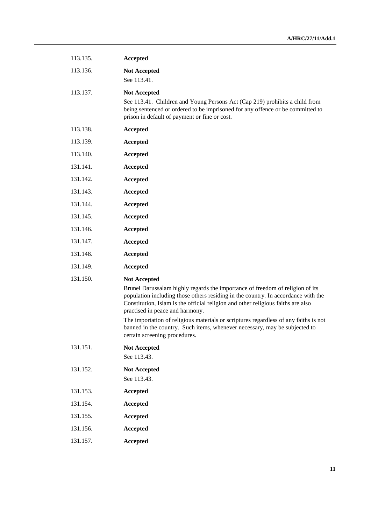| 113.135. | Accepted                                                                                                                                                                                                                                                                                                                                                                                                                                                                                                                |
|----------|-------------------------------------------------------------------------------------------------------------------------------------------------------------------------------------------------------------------------------------------------------------------------------------------------------------------------------------------------------------------------------------------------------------------------------------------------------------------------------------------------------------------------|
| 113.136. | <b>Not Accepted</b><br>See 113.41.                                                                                                                                                                                                                                                                                                                                                                                                                                                                                      |
| 113.137. | <b>Not Accepted</b><br>See 113.41. Children and Young Persons Act (Cap 219) prohibits a child from<br>being sentenced or ordered to be imprisoned for any offence or be committed to<br>prison in default of payment or fine or cost.                                                                                                                                                                                                                                                                                   |
| 113.138. | Accepted                                                                                                                                                                                                                                                                                                                                                                                                                                                                                                                |
| 113.139. | Accepted                                                                                                                                                                                                                                                                                                                                                                                                                                                                                                                |
| 113.140. | Accepted                                                                                                                                                                                                                                                                                                                                                                                                                                                                                                                |
| 131.141. | Accepted                                                                                                                                                                                                                                                                                                                                                                                                                                                                                                                |
| 131.142. | <b>Accepted</b>                                                                                                                                                                                                                                                                                                                                                                                                                                                                                                         |
| 131.143. | Accepted                                                                                                                                                                                                                                                                                                                                                                                                                                                                                                                |
| 131.144. | Accepted                                                                                                                                                                                                                                                                                                                                                                                                                                                                                                                |
| 131.145. | <b>Accepted</b>                                                                                                                                                                                                                                                                                                                                                                                                                                                                                                         |
| 131.146. | Accepted                                                                                                                                                                                                                                                                                                                                                                                                                                                                                                                |
| 131.147. | <b>Accepted</b>                                                                                                                                                                                                                                                                                                                                                                                                                                                                                                         |
| 131.148. | <b>Accepted</b>                                                                                                                                                                                                                                                                                                                                                                                                                                                                                                         |
| 131.149. | Accepted                                                                                                                                                                                                                                                                                                                                                                                                                                                                                                                |
| 131.150. | <b>Not Accepted</b><br>Brunei Darussalam highly regards the importance of freedom of religion of its<br>population including those others residing in the country. In accordance with the<br>Constitution, Islam is the official religion and other religious faiths are also<br>practised in peace and harmony.<br>The importation of religious materials or scriptures regardless of any faiths is not<br>banned in the country. Such items, whenever necessary, may be subjected to<br>certain screening procedures. |
| 131.151. | <b>Not Accepted</b><br>See 113.43.                                                                                                                                                                                                                                                                                                                                                                                                                                                                                      |
| 131.152. | <b>Not Accepted</b><br>See 113.43.                                                                                                                                                                                                                                                                                                                                                                                                                                                                                      |
| 131.153. | Accepted                                                                                                                                                                                                                                                                                                                                                                                                                                                                                                                |
| 131.154. | Accepted                                                                                                                                                                                                                                                                                                                                                                                                                                                                                                                |
| 131.155. | Accepted                                                                                                                                                                                                                                                                                                                                                                                                                                                                                                                |
| 131.156. | Accepted                                                                                                                                                                                                                                                                                                                                                                                                                                                                                                                |
| 131.157. | Accepted                                                                                                                                                                                                                                                                                                                                                                                                                                                                                                                |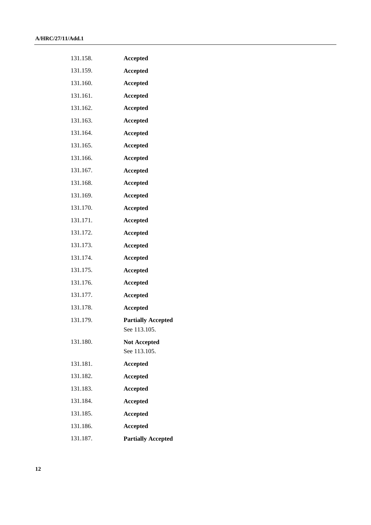| 131.158. | Accepted                                  |
|----------|-------------------------------------------|
| 131.159. | <b>Accepted</b>                           |
| 131.160. | <b>Accepted</b>                           |
| 131.161. | <b>Accepted</b>                           |
| 131.162. | <b>Accepted</b>                           |
| 131.163. | <b>Accepted</b>                           |
| 131.164. | <b>Accepted</b>                           |
| 131.165. | <b>Accepted</b>                           |
| 131.166. | <b>Accepted</b>                           |
| 131.167. | <b>Accepted</b>                           |
| 131.168. | <b>Accepted</b>                           |
| 131.169. | <b>Accepted</b>                           |
| 131.170. | <b>Accepted</b>                           |
| 131.171. | <b>Accepted</b>                           |
| 131.172. | <b>Accepted</b>                           |
| 131.173. | <b>Accepted</b>                           |
| 131.174. | <b>Accepted</b>                           |
| 131.175. | <b>Accepted</b>                           |
| 131.176. | <b>Accepted</b>                           |
| 131.177. | <b>Accepted</b>                           |
| 131.178. | <b>Accepted</b>                           |
| 131.179. | <b>Partially Accepted</b><br>See 113.105. |
| 131.180. | <b>Not Accepted</b><br>See 113.105.       |
| 131.181. | <b>Accepted</b>                           |
| 131.182. | <b>Accepted</b>                           |
| 131.183. | <b>Accepted</b>                           |
| 131.184. | <b>Accepted</b>                           |
| 131.185. | <b>Accepted</b>                           |
| 131.186. | <b>Accepted</b>                           |
| 131.187. | <b>Partially Accepted</b>                 |